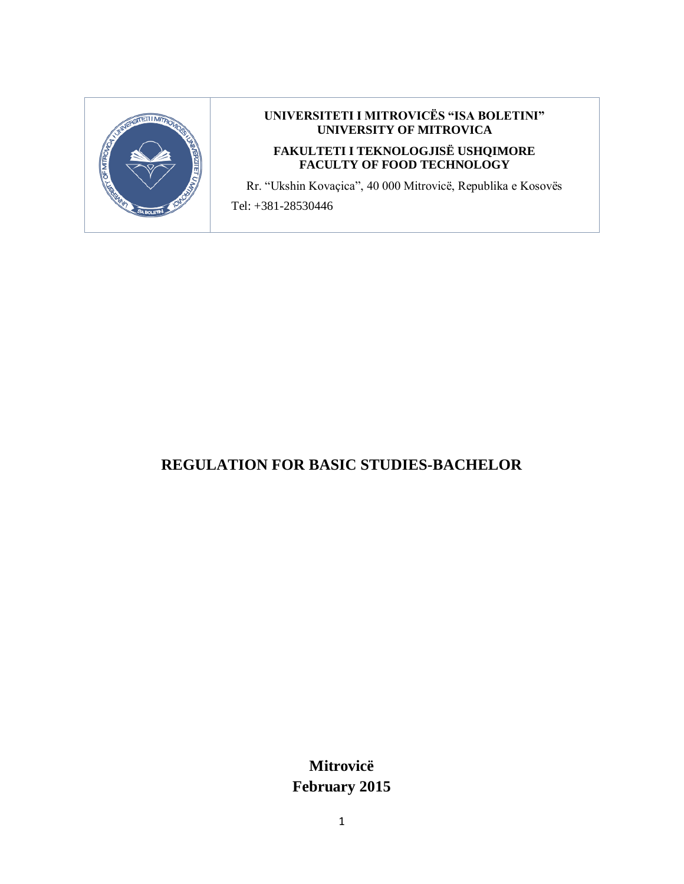

#### **UNIVERSITETI I MITROVICËS "ISA BOLETINI" UNIVERSITY OF MITROVICA**

#### **FAKULTETI I TEKNOLOGJISË USHQIMORE FACULTY OF FOOD TECHNOLOGY**

Rr. "Ukshin Kovaçica", 40 000 Mitrovicë, Republika e Kosovës

Tel: +381-28530446

# **REGULATION FOR BASIC STUDIES-BACHELOR**

**Mitrovicë February 2015**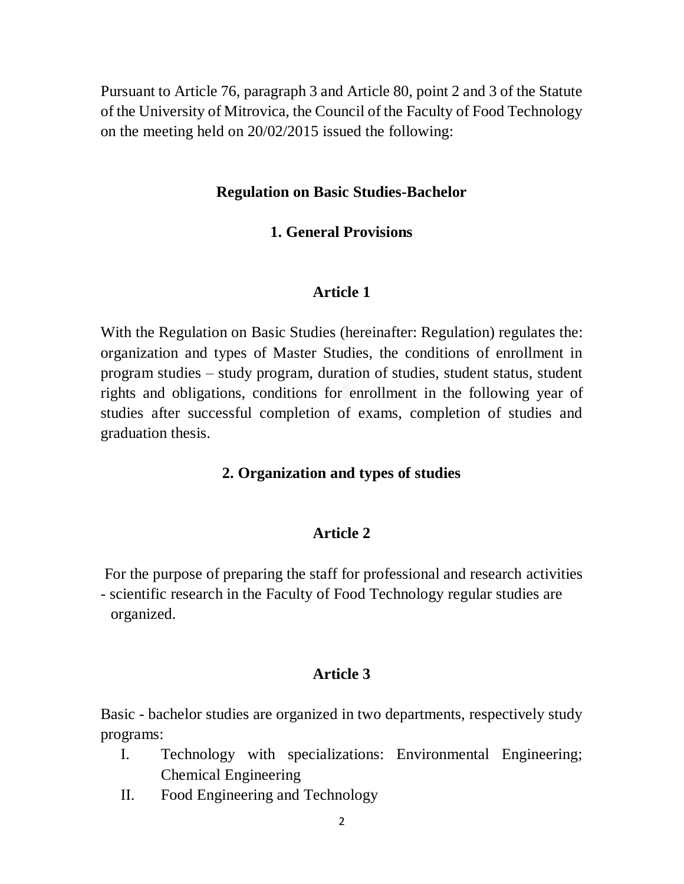Pursuant to Article 76, paragraph 3 and Article 80, point 2 and 3 of the Statute of the University of Mitrovica, the Council of the Faculty of Food Technology on the meeting held on 20/02/2015 issued the following:

#### **Regulation on Basic Studies-Bachelor**

### **1. General Provisions**

#### **Article 1**

With the Regulation on Basic Studies (hereinafter: Regulation) regulates the: organization and types of Master Studies, the conditions of enrollment in program studies – study program, duration of studies, student status, student rights and obligations, conditions for enrollment in the following year of studies after successful completion of exams, completion of studies and graduation thesis.

#### **2. Organization and types of studies**

#### **Article 2**

For the purpose of preparing the staff for professional and research activities - scientific research in the Faculty of Food Technology regular studies are organized.

#### **Article 3**

Basic - bachelor studies are organized in two departments, respectively study programs:

- I. Technology with specializations: Environmental Engineering; Chemical Engineering
- II. Food Engineering and Technology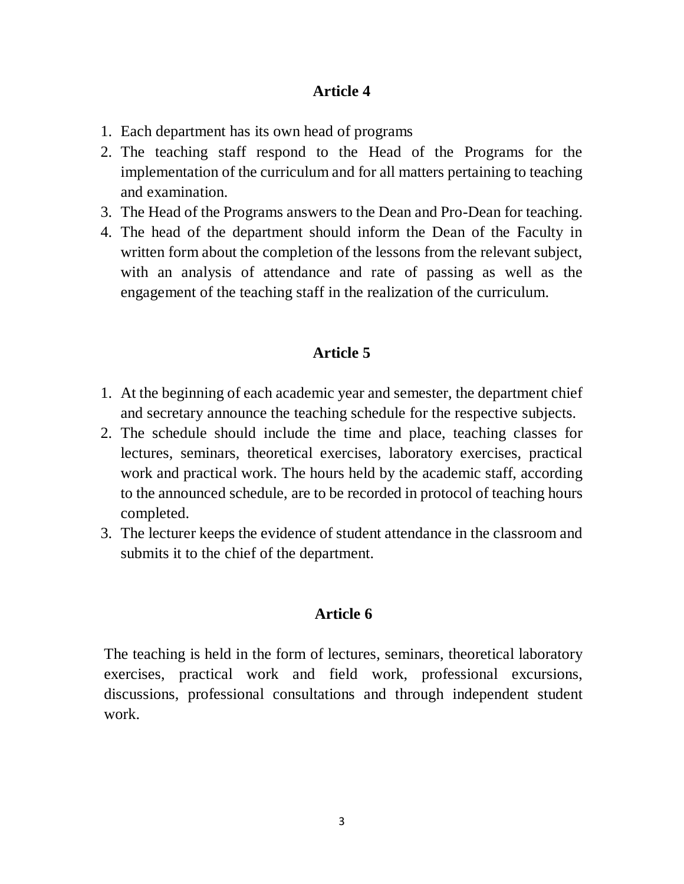- 1. Each department has its own head of programs
- 2. The teaching staff respond to the Head of the Programs for the implementation of the curriculum and for all matters pertaining to teaching and examination.
- 3. The Head of the Programs answers to the Dean and Pro-Dean for teaching.
- 4. The head of the department should inform the Dean of the Faculty in written form about the completion of the lessons from the relevant subject, with an analysis of attendance and rate of passing as well as the engagement of the teaching staff in the realization of the curriculum.

# **Article 5**

- 1. At the beginning of each academic year and semester, the department chief and secretary announce the teaching schedule for the respective subjects.
- 2. The schedule should include the time and place, teaching classes for lectures, seminars, theoretical exercises, laboratory exercises, practical work and practical work. The hours held by the academic staff, according to the announced schedule, are to be recorded in protocol of teaching hours completed.
- 3. The lecturer keeps the evidence of student attendance in the classroom and submits it to the chief of the department.

# **Article 6**

The teaching is held in the form of lectures, seminars, theoretical laboratory exercises, practical work and field work, professional excursions, discussions, professional consultations and through independent student work.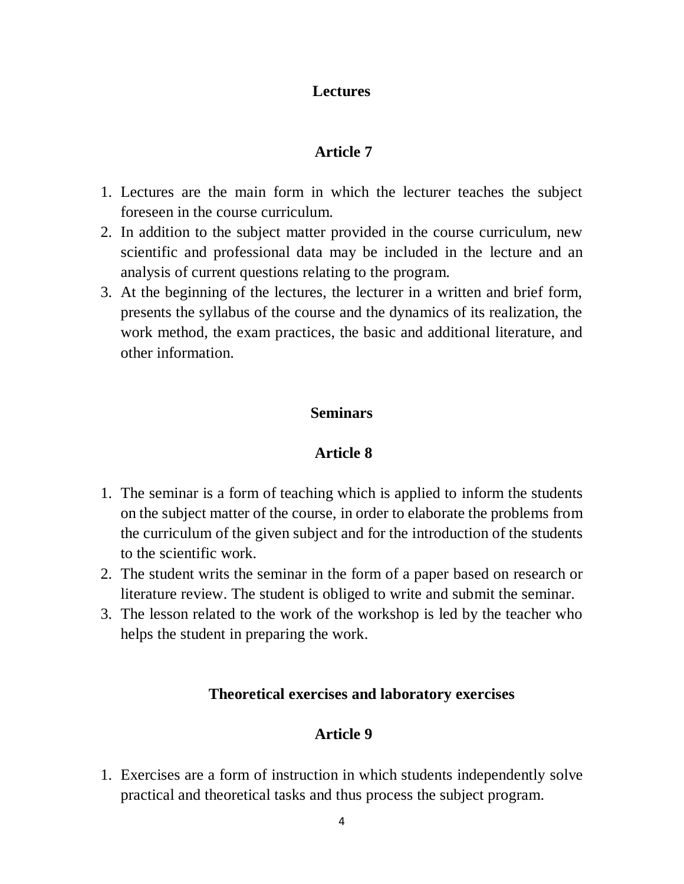# **Lectures**

# **Article 7**

- 1. Lectures are the main form in which the lecturer teaches the subject foreseen in the course curriculum.
- 2. In addition to the subject matter provided in the course curriculum, new scientific and professional data may be included in the lecture and an analysis of current questions relating to the program.
- 3. At the beginning of the lectures, the lecturer in a written and brief form, presents the syllabus of the course and the dynamics of its realization, the work method, the exam practices, the basic and additional literature, and other information.

# **Seminars**

# **Article 8**

- 1. The seminar is a form of teaching which is applied to inform the students on the subject matter of the course, in order to elaborate the problems from the curriculum of the given subject and for the introduction of the students to the scientific work.
- 2. The student writs the seminar in the form of a paper based on research or literature review. The student is obliged to write and submit the seminar.
- 3. The lesson related to the work of the workshop is led by the teacher who helps the student in preparing the work.

# **Theoretical exercises and laboratory exercises**

# **Article 9**

1. Exercises are a form of instruction in which students independently solve practical and theoretical tasks and thus process the subject program.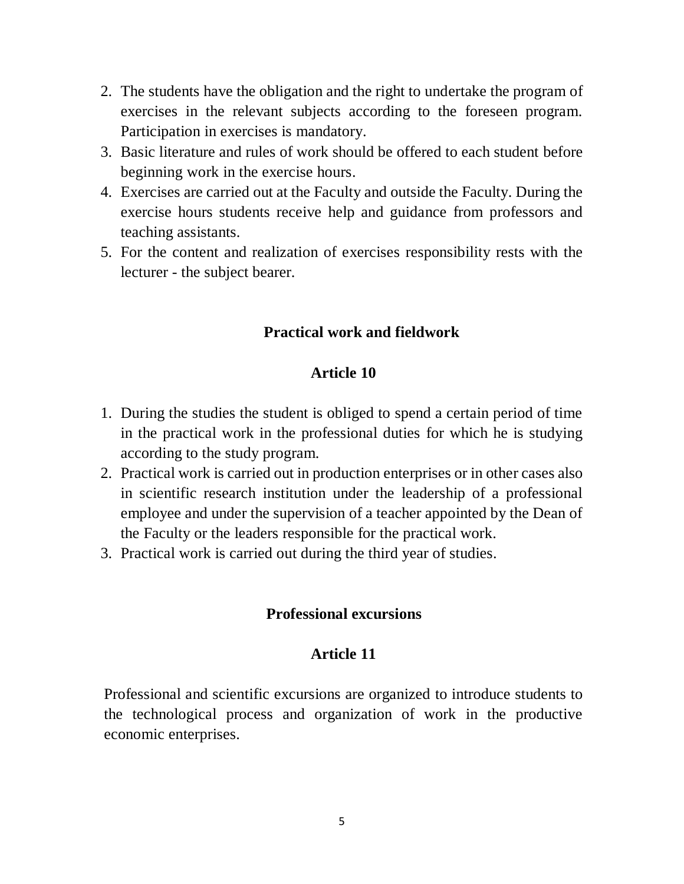- 2. The students have the obligation and the right to undertake the program of exercises in the relevant subjects according to the foreseen program. Participation in exercises is mandatory.
- 3. Basic literature and rules of work should be offered to each student before beginning work in the exercise hours.
- 4. Exercises are carried out at the Faculty and outside the Faculty. During the exercise hours students receive help and guidance from professors and teaching assistants.
- 5. For the content and realization of exercises responsibility rests with the lecturer - the subject bearer.

# **Practical work and fieldwork**

# **Article 10**

- 1. During the studies the student is obliged to spend a certain period of time in the practical work in the professional duties for which he is studying according to the study program.
- 2. Practical work is carried out in production enterprises or in other cases also in scientific research institution under the leadership of a professional employee and under the supervision of a teacher appointed by the Dean of the Faculty or the leaders responsible for the practical work.
- 3. Practical work is carried out during the third year of studies.

### **Professional excursions**

# **Article 11**

Professional and scientific excursions are organized to introduce students to the technological process and organization of work in the productive economic enterprises.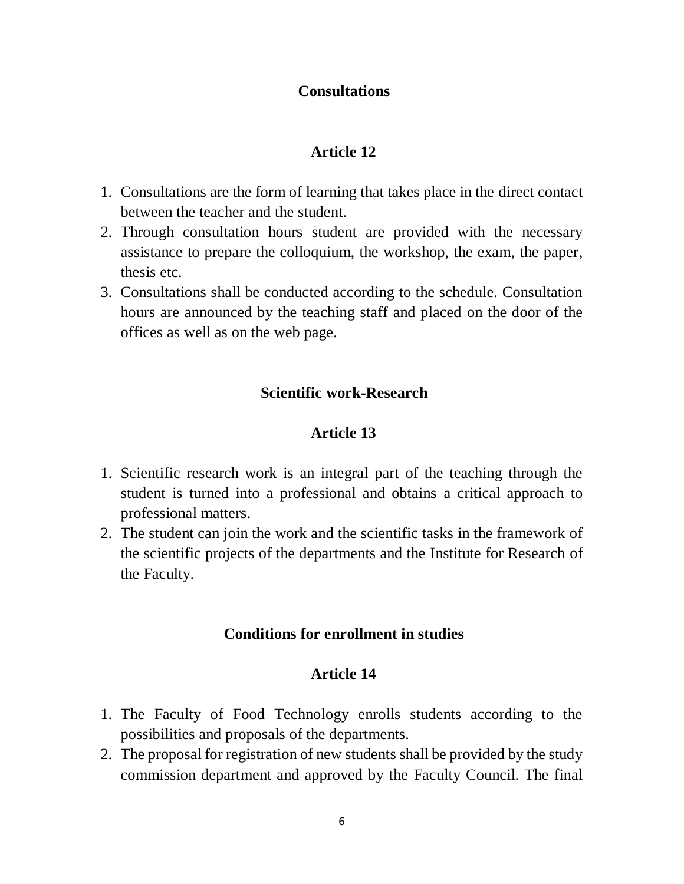# **Consultations**

# **Article 12**

- 1. Consultations are the form of learning that takes place in the direct contact between the teacher and the student.
- 2. Through consultation hours student are provided with the necessary assistance to prepare the colloquium, the workshop, the exam, the paper, thesis etc.
- 3. Consultations shall be conducted according to the schedule. Consultation hours are announced by the teaching staff and placed on the door of the offices as well as on the web page.

# **Scientific work-Research**

# **Article 13**

- 1. Scientific research work is an integral part of the teaching through the student is turned into a professional and obtains a critical approach to professional matters.
- 2. The student can join the work and the scientific tasks in the framework of the scientific projects of the departments and the Institute for Research of the Faculty.

### **Conditions for enrollment in studies**

- 1. The Faculty of Food Technology enrolls students according to the possibilities and proposals of the departments.
- 2. The proposal for registration of new students shall be provided by the study commission department and approved by the Faculty Council. The final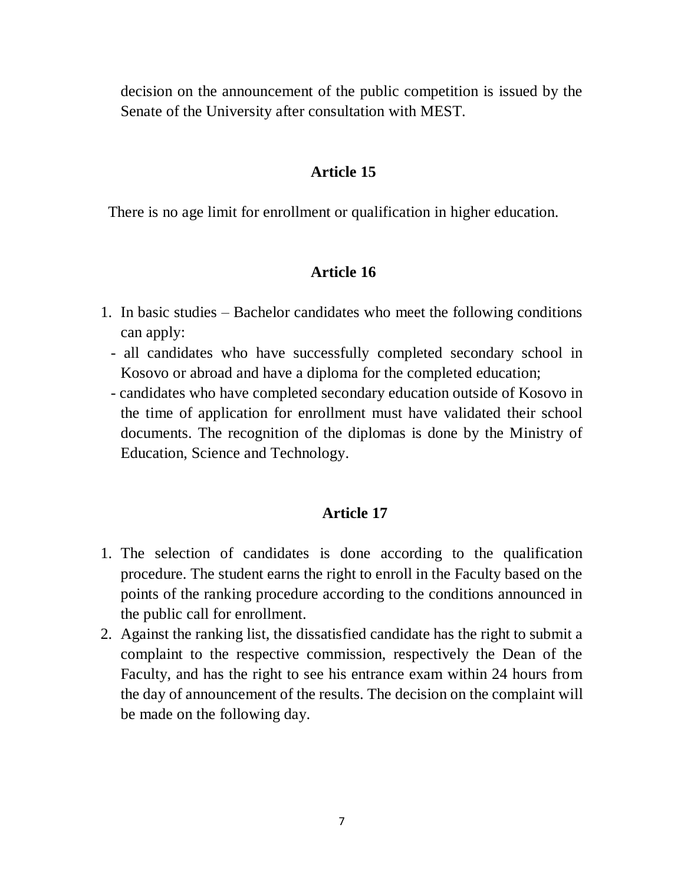decision on the announcement of the public competition is issued by the Senate of the University after consultation with MEST.

#### **Article 15**

There is no age limit for enrollment or qualification in higher education.

### **Article 16**

- 1. In basic studies Bachelor candidates who meet the following conditions can apply:
	- all candidates who have successfully completed secondary school in Kosovo or abroad and have a diploma for the completed education;
	- candidates who have completed secondary education outside of Kosovo in the time of application for enrollment must have validated their school documents. The recognition of the diplomas is done by the Ministry of Education, Science and Technology.

- 1. The selection of candidates is done according to the qualification procedure. The student earns the right to enroll in the Faculty based on the points of the ranking procedure according to the conditions announced in the public call for enrollment.
- 2. Against the ranking list, the dissatisfied candidate has the right to submit a complaint to the respective commission, respectively the Dean of the Faculty, and has the right to see his entrance exam within 24 hours from the day of announcement of the results. The decision on the complaint will be made on the following day.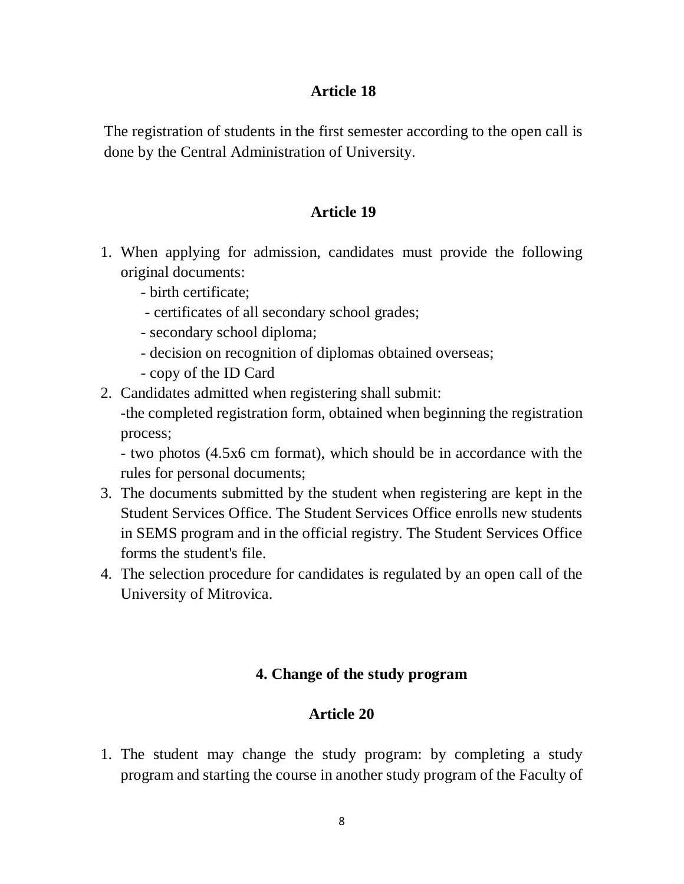The registration of students in the first semester according to the open call is done by the Central Administration of University.

# **Article 19**

- 1. When applying for admission, candidates must provide the following original documents:
	- birth certificate;
	- certificates of all secondary school grades;
	- secondary school diploma;
	- decision on recognition of diplomas obtained overseas;
	- copy of the ID Card
- 2. Candidates admitted when registering shall submit: -the completed registration form, obtained when beginning the registration process;

- two photos (4.5x6 cm format), which should be in accordance with the rules for personal documents;

- 3. The documents submitted by the student when registering are kept in the Student Services Office. The Student Services Office enrolls new students in SEMS program and in the official registry. The Student Services Office forms the student's file.
- 4. The selection procedure for candidates is regulated by an open call of the University of Mitrovica.

# **4. Change of the study program**

# **Article 20**

1. The student may change the study program: by completing a study program and starting the course in another study program of the Faculty of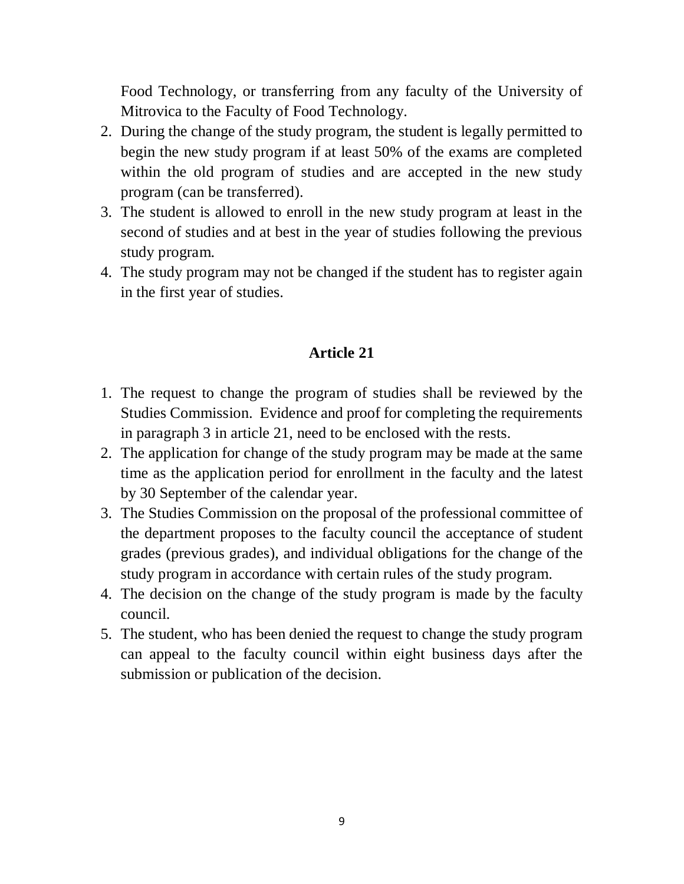Food Technology, or transferring from any faculty of the University of Mitrovica to the Faculty of Food Technology.

- 2. During the change of the study program, the student is legally permitted to begin the new study program if at least 50% of the exams are completed within the old program of studies and are accepted in the new study program (can be transferred).
- 3. The student is allowed to enroll in the new study program at least in the second of studies and at best in the year of studies following the previous study program.
- 4. The study program may not be changed if the student has to register again in the first year of studies.

- 1. The request to change the program of studies shall be reviewed by the Studies Commission. Evidence and proof for completing the requirements in paragraph 3 in article 21, need to be enclosed with the rests.
- 2. The application for change of the study program may be made at the same time as the application period for enrollment in the faculty and the latest by 30 September of the calendar year.
- 3. The Studies Commission on the proposal of the professional committee of the department proposes to the faculty council the acceptance of student grades (previous grades), and individual obligations for the change of the study program in accordance with certain rules of the study program.
- 4. The decision on the change of the study program is made by the faculty council.
- 5. The student, who has been denied the request to change the study program can appeal to the faculty council within eight business days after the submission or publication of the decision.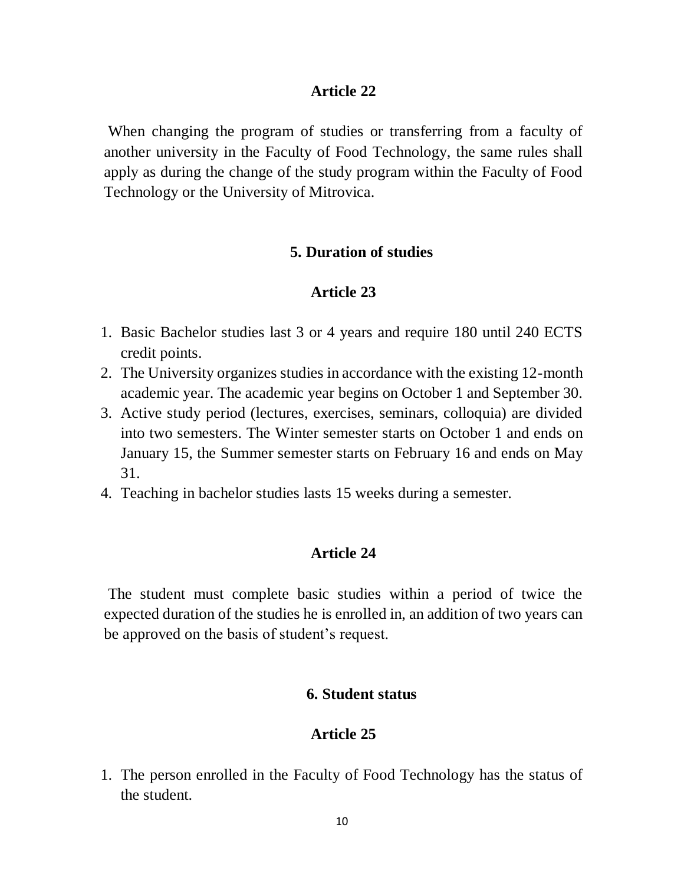When changing the program of studies or transferring from a faculty of another university in the Faculty of Food Technology, the same rules shall apply as during the change of the study program within the Faculty of Food Technology or the University of Mitrovica.

### **5. Duration of studies**

### **Article 23**

- 1. Basic Bachelor studies last 3 or 4 years and require 180 until 240 ECTS credit points.
- 2. The University organizes studies in accordance with the existing 12-month academic year. The academic year begins on October 1 and September 30.
- 3. Active study period (lectures, exercises, seminars, colloquia) are divided into two semesters. The Winter semester starts on October 1 and ends on January 15, the Summer semester starts on February 16 and ends on May 31.
- 4. Teaching in bachelor studies lasts 15 weeks during a semester.

### **Article 24**

The student must complete basic studies within a period of twice the expected duration of the studies he is enrolled in, an addition of two years can be approved on the basis of student's request.

#### **6. Student status**

### **Article 25**

1. The person enrolled in the Faculty of Food Technology has the status of the student.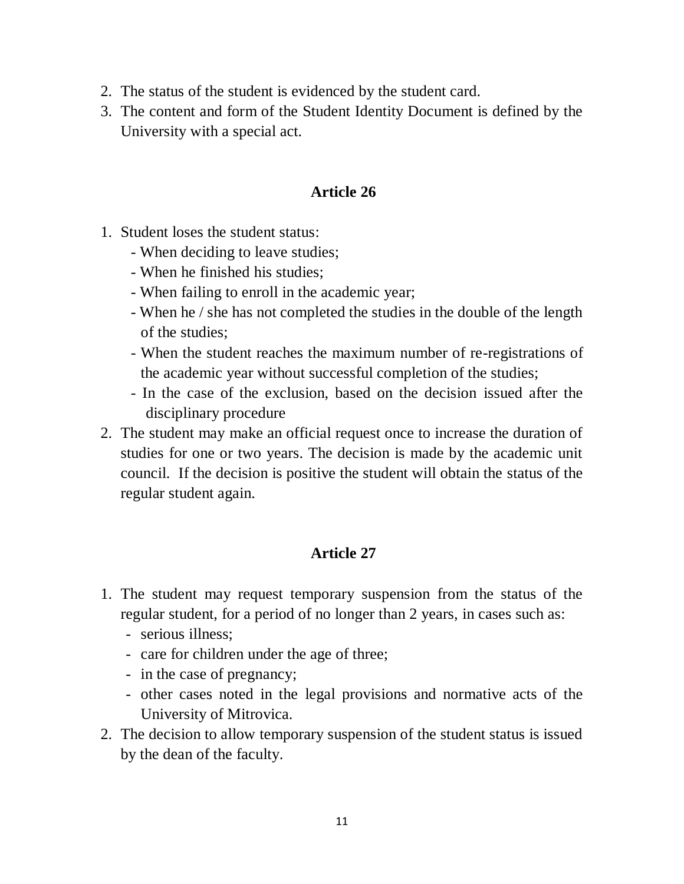- 2. The status of the student is evidenced by the student card.
- 3. The content and form of the Student Identity Document is defined by the University with a special act.

- 1. Student loses the student status:
	- When deciding to leave studies;
	- When he finished his studies;
	- When failing to enroll in the academic year;
	- When he / she has not completed the studies in the double of the length of the studies;
	- When the student reaches the maximum number of re-registrations of the academic year without successful completion of the studies;
	- In the case of the exclusion, based on the decision issued after the disciplinary procedure
- 2. The student may make an official request once to increase the duration of studies for one or two years. The decision is made by the academic unit council. If the decision is positive the student will obtain the status of the regular student again.

- 1. The student may request temporary suspension from the status of the regular student, for a period of no longer than 2 years, in cases such as:
	- serious illness;
	- care for children under the age of three;
	- in the case of pregnancy;
	- other cases noted in the legal provisions and normative acts of the University of Mitrovica.
- 2. The decision to allow temporary suspension of the student status is issued by the dean of the faculty.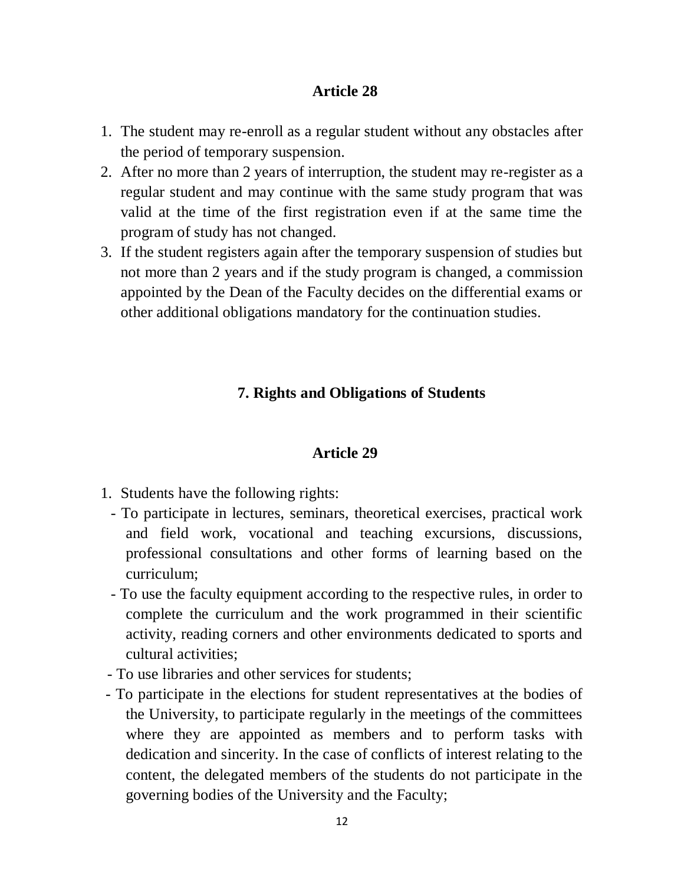- 1. The student may re-enroll as a regular student without any obstacles after the period of temporary suspension.
- 2. After no more than 2 years of interruption, the student may re-register as a regular student and may continue with the same study program that was valid at the time of the first registration even if at the same time the program of study has not changed.
- 3. If the student registers again after the temporary suspension of studies but not more than 2 years and if the study program is changed, a commission appointed by the Dean of the Faculty decides on the differential exams or other additional obligations mandatory for the continuation studies.

# **7. Rights and Obligations of Students**

- 1. Students have the following rights:
	- To participate in lectures, seminars, theoretical exercises, practical work and field work, vocational and teaching excursions, discussions, professional consultations and other forms of learning based on the curriculum;
	- To use the faculty equipment according to the respective rules, in order to complete the curriculum and the work programmed in their scientific activity, reading corners and other environments dedicated to sports and cultural activities;
- To use libraries and other services for students;
- To participate in the elections for student representatives at the bodies of the University, to participate regularly in the meetings of the committees where they are appointed as members and to perform tasks with dedication and sincerity. In the case of conflicts of interest relating to the content, the delegated members of the students do not participate in the governing bodies of the University and the Faculty;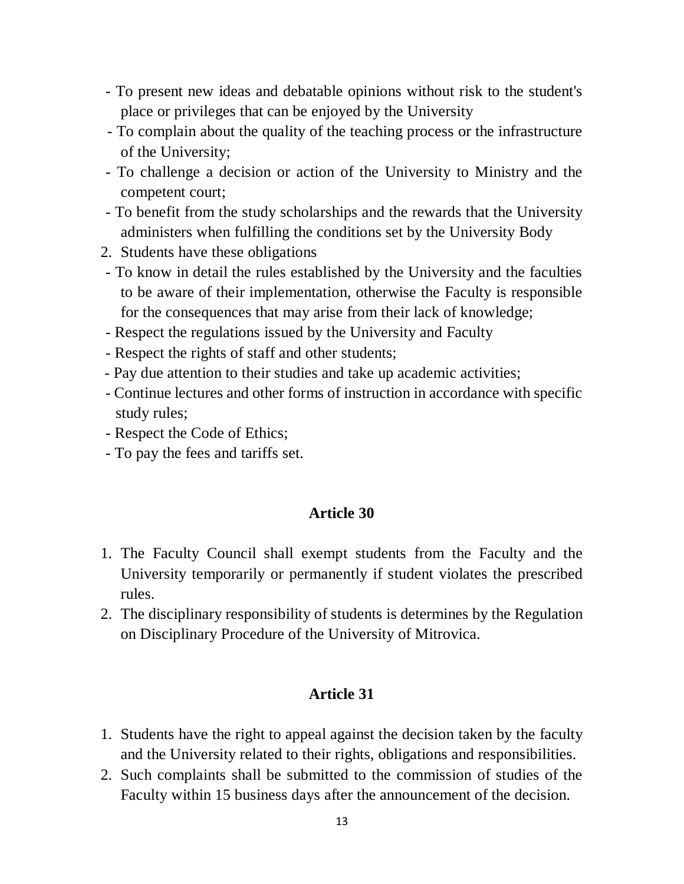- To present new ideas and debatable opinions without risk to the student's place or privileges that can be enjoyed by the University
- To complain about the quality of the teaching process or the infrastructure of the University;
- To challenge a decision or action of the University to Ministry and the competent court;
- To benefit from the study scholarships and the rewards that the University administers when fulfilling the conditions set by the University Body
- 2. Students have these obligations
- To know in detail the rules established by the University and the faculties to be aware of their implementation, otherwise the Faculty is responsible for the consequences that may arise from their lack of knowledge;
- Respect the regulations issued by the University and Faculty
- Respect the rights of staff and other students;
- Pay due attention to their studies and take up academic activities;
- Continue lectures and other forms of instruction in accordance with specific study rules;
- Respect the Code of Ethics;
- To pay the fees and tariffs set.

- 1. The Faculty Council shall exempt students from the Faculty and the University temporarily or permanently if student violates the prescribed rules.
- 2. The disciplinary responsibility of students is determines by the Regulation on Disciplinary Procedure of the University of Mitrovica.

- 1. Students have the right to appeal against the decision taken by the faculty and the University related to their rights, obligations and responsibilities.
- 2. Such complaints shall be submitted to the commission of studies of the Faculty within 15 business days after the announcement of the decision.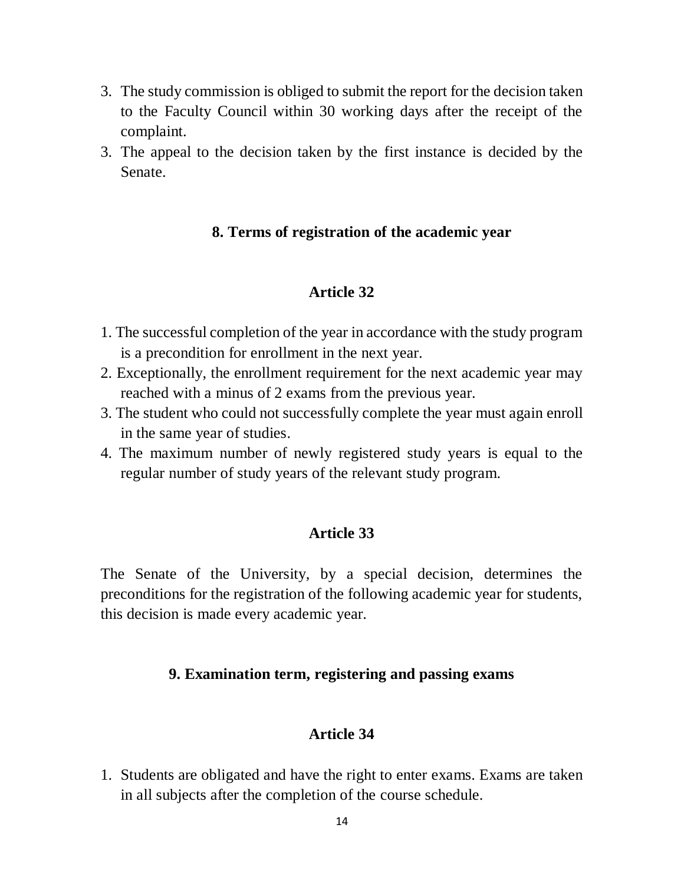- 3. The study commission is obliged to submit the report for the decision taken to the Faculty Council within 30 working days after the receipt of the complaint.
- 3. The appeal to the decision taken by the first instance is decided by the Senate.

# **8. Terms of registration of the academic year**

### **Article 32**

- 1. The successful completion of the year in accordance with the study program is a precondition for enrollment in the next year.
- 2. Exceptionally, the enrollment requirement for the next academic year may reached with a minus of 2 exams from the previous year.
- 3. The student who could not successfully complete the year must again enroll in the same year of studies.
- 4. The maximum number of newly registered study years is equal to the regular number of study years of the relevant study program.

### **Article 33**

The Senate of the University, by a special decision, determines the preconditions for the registration of the following academic year for students, this decision is made every academic year.

### **9. Examination term, registering and passing exams**

### **Article 34**

1. Students are obligated and have the right to enter exams. Exams are taken in all subjects after the completion of the course schedule.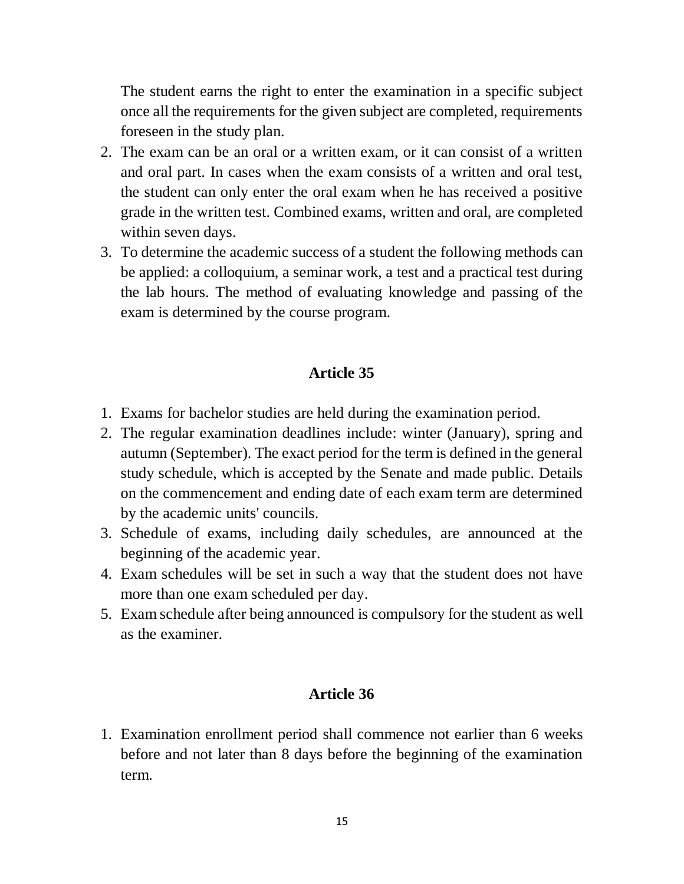The student earns the right to enter the examination in a specific subject once all the requirements for the given subject are completed, requirements foreseen in the study plan.

- 2. The exam can be an oral or a written exam, or it can consist of a written and oral part. In cases when the exam consists of a written and oral test, the student can only enter the oral exam when he has received a positive grade in the written test. Combined exams, written and oral, are completed within seven days.
- 3. To determine the academic success of a student the following methods can be applied: a colloquium, a seminar work, a test and a practical test during the lab hours. The method of evaluating knowledge and passing of the exam is determined by the course program.

### **Article 35**

- 1. Exams for bachelor studies are held during the examination period.
- 2. The regular examination deadlines include: winter (January), spring and autumn (September). The exact period for the term is defined in the general study schedule, which is accepted by the Senate and made public. Details on the commencement and ending date of each exam term are determined by the academic units' councils.
- 3. Schedule of exams, including daily schedules, are announced at the beginning of the academic year.
- 4. Exam schedules will be set in such a way that the student does not have more than one exam scheduled per day.
- 5. Exam schedule after being announced is compulsory for the student as well as the examiner.

### **Article 36**

1. Examination enrollment period shall commence not earlier than 6 weeks before and not later than 8 days before the beginning of the examination term.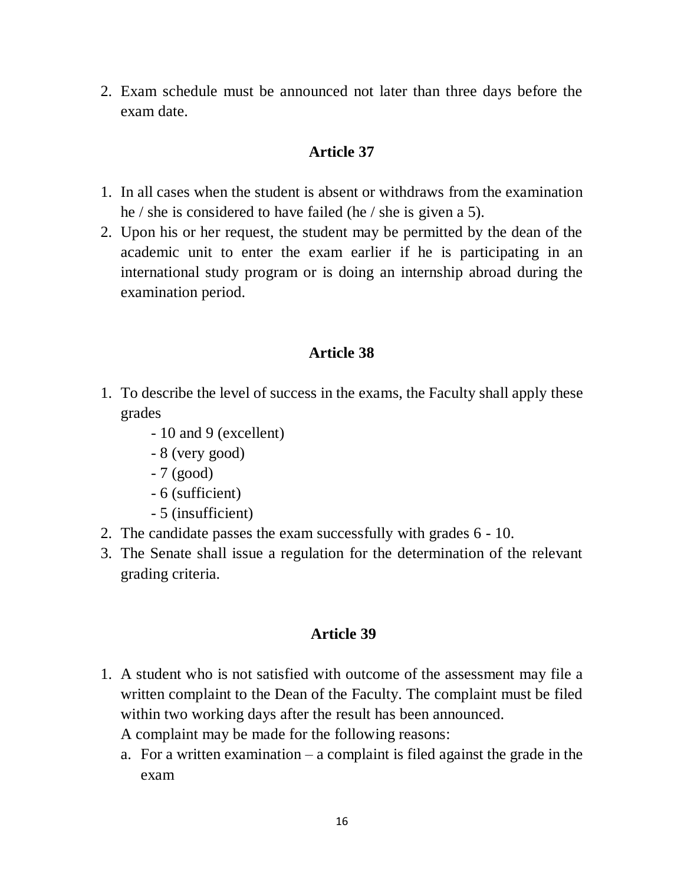2. Exam schedule must be announced not later than three days before the exam date.

### **Article 37**

- 1. In all cases when the student is absent or withdraws from the examination he / she is considered to have failed (he / she is given a 5).
- 2. Upon his or her request, the student may be permitted by the dean of the academic unit to enter the exam earlier if he is participating in an international study program or is doing an internship abroad during the examination period.

# **Article 38**

- 1. To describe the level of success in the exams, the Faculty shall apply these grades
	- 10 and 9 (excellent)
	- 8 (very good)
	- 7 (good)
	- 6 (sufficient)
	- 5 (insufficient)
- 2. The candidate passes the exam successfully with grades 6 10.
- 3. The Senate shall issue a regulation for the determination of the relevant grading criteria.

- 1. A student who is not satisfied with outcome of the assessment may file a written complaint to the Dean of the Faculty. The complaint must be filed within two working days after the result has been announced.
	- A complaint may be made for the following reasons:
	- a. For a written examination a complaint is filed against the grade in the exam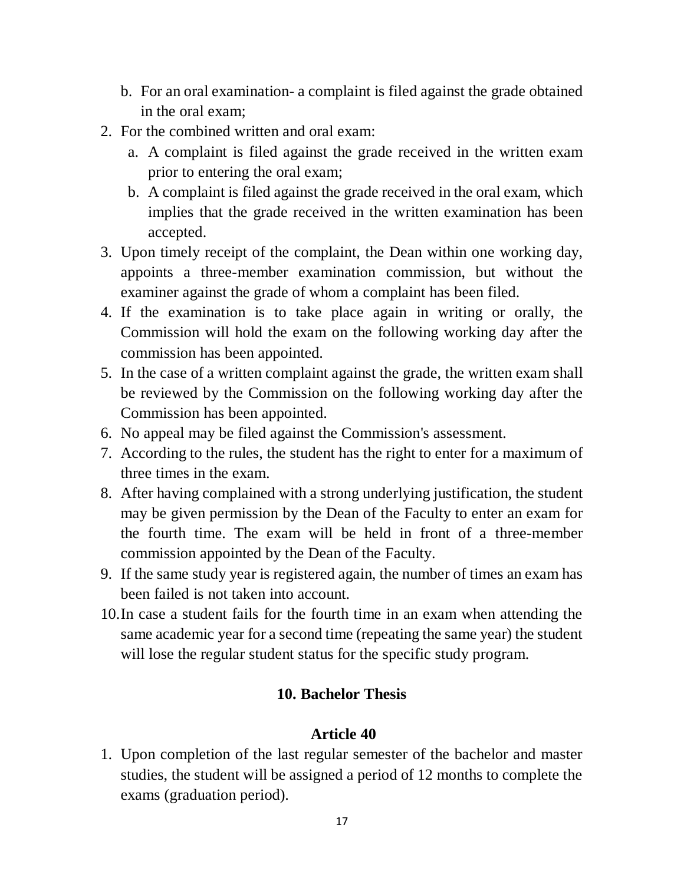- b. For an oral examination- a complaint is filed against the grade obtained in the oral exam;
- 2. For the combined written and oral exam:
	- a. A complaint is filed against the grade received in the written exam prior to entering the oral exam;
	- b. A complaint is filed against the grade received in the oral exam, which implies that the grade received in the written examination has been accepted.
- 3. Upon timely receipt of the complaint, the Dean within one working day, appoints a three-member examination commission, but without the examiner against the grade of whom a complaint has been filed.
- 4. If the examination is to take place again in writing or orally, the Commission will hold the exam on the following working day after the commission has been appointed.
- 5. In the case of a written complaint against the grade, the written exam shall be reviewed by the Commission on the following working day after the Commission has been appointed.
- 6. No appeal may be filed against the Commission's assessment.
- 7. According to the rules, the student has the right to enter for a maximum of three times in the exam.
- 8. After having complained with a strong underlying justification, the student may be given permission by the Dean of the Faculty to enter an exam for the fourth time. The exam will be held in front of a three-member commission appointed by the Dean of the Faculty.
- 9. If the same study year is registered again, the number of times an exam has been failed is not taken into account.
- 10.In case a student fails for the fourth time in an exam when attending the same academic year for a second time (repeating the same year) the student will lose the regular student status for the specific study program.

### **10. Bachelor Thesis**

#### **Article 40**

1. Upon completion of the last regular semester of the bachelor and master studies, the student will be assigned a period of 12 months to complete the exams (graduation period).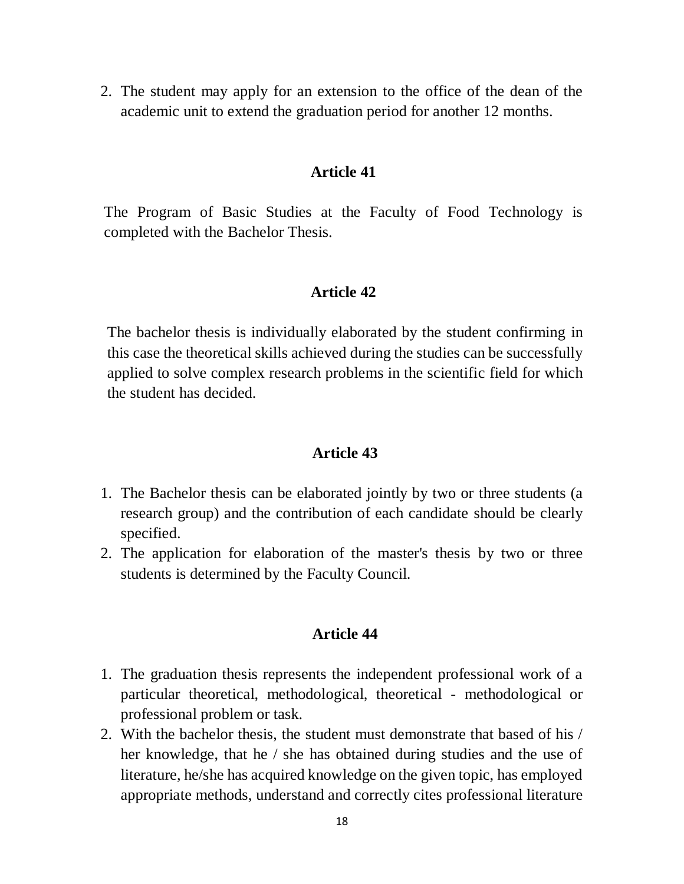2. The student may apply for an extension to the office of the dean of the academic unit to extend the graduation period for another 12 months.

#### **Article 41**

The Program of Basic Studies at the Faculty of Food Technology is completed with the Bachelor Thesis.

#### **Article 42**

The bachelor thesis is individually elaborated by the student confirming in this case the theoretical skills achieved during the studies can be successfully applied to solve complex research problems in the scientific field for which the student has decided.

#### **Article 43**

- 1. The Bachelor thesis can be elaborated jointly by two or three students (a research group) and the contribution of each candidate should be clearly specified.
- 2. The application for elaboration of the master's thesis by two or three students is determined by the Faculty Council.

- 1. The graduation thesis represents the independent professional work of a particular theoretical, methodological, theoretical - methodological or professional problem or task.
- 2. With the bachelor thesis, the student must demonstrate that based of his / her knowledge, that he / she has obtained during studies and the use of literature, he/she has acquired knowledge on the given topic, has employed appropriate methods, understand and correctly cites professional literature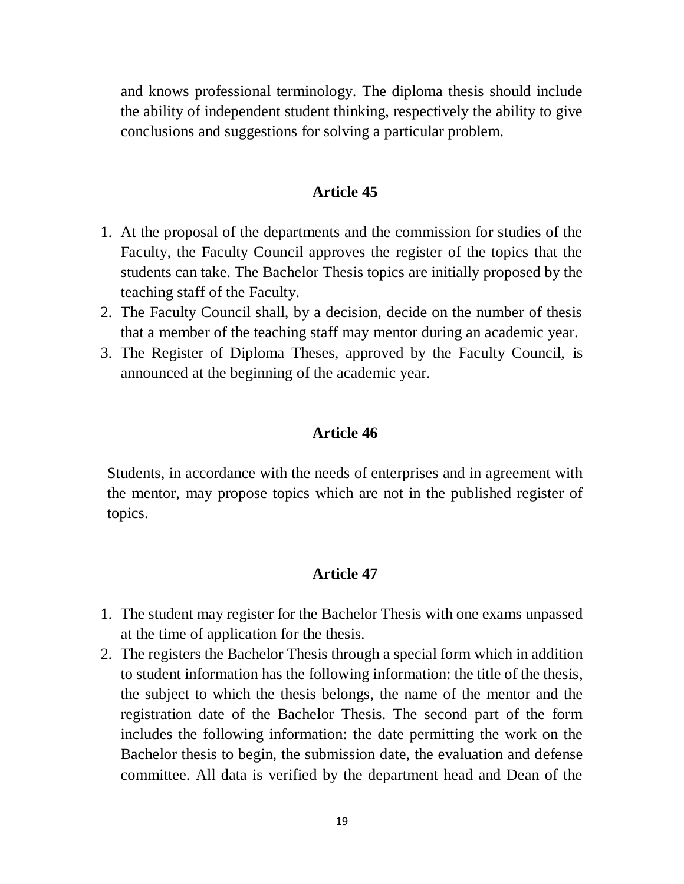and knows professional terminology. The diploma thesis should include the ability of independent student thinking, respectively the ability to give conclusions and suggestions for solving a particular problem.

#### **Article 45**

- 1. At the proposal of the departments and the commission for studies of the Faculty, the Faculty Council approves the register of the topics that the students can take. The Bachelor Thesis topics are initially proposed by the teaching staff of the Faculty.
- 2. The Faculty Council shall, by a decision, decide on the number of thesis that a member of the teaching staff may mentor during an academic year.
- 3. The Register of Diploma Theses, approved by the Faculty Council, is announced at the beginning of the academic year.

### **Article 46**

Students, in accordance with the needs of enterprises and in agreement with the mentor, may propose topics which are not in the published register of topics.

- 1. The student may register for the Bachelor Thesis with one exams unpassed at the time of application for the thesis.
- 2. The registers the Bachelor Thesis through a special form which in addition to student information has the following information: the title of the thesis, the subject to which the thesis belongs, the name of the mentor and the registration date of the Bachelor Thesis. The second part of the form includes the following information: the date permitting the work on the Bachelor thesis to begin, the submission date, the evaluation and defense committee. All data is verified by the department head and Dean of the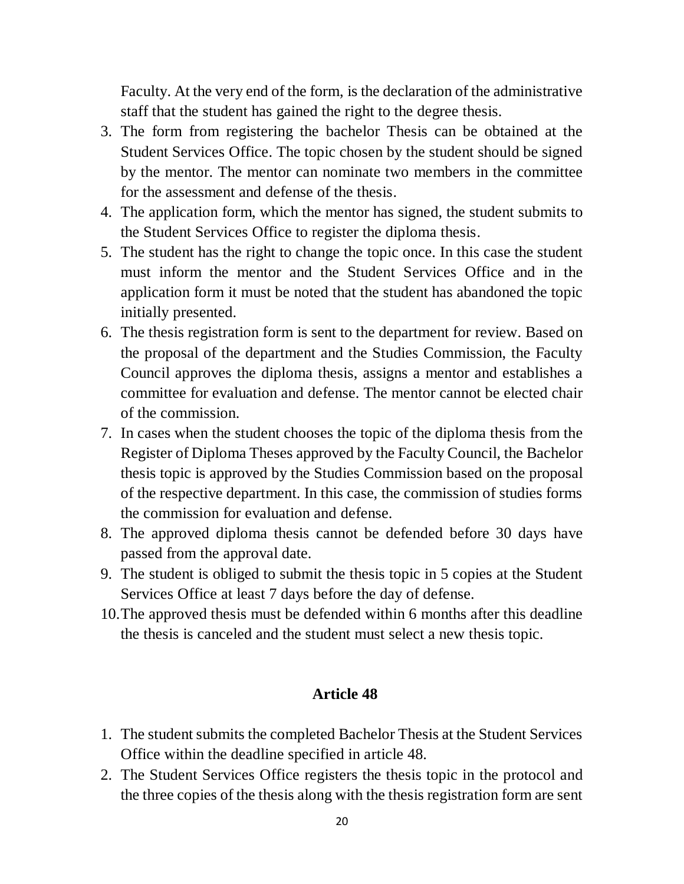Faculty. At the very end of the form, is the declaration of the administrative staff that the student has gained the right to the degree thesis.

- 3. The form from registering the bachelor Thesis can be obtained at the Student Services Office. The topic chosen by the student should be signed by the mentor. The mentor can nominate two members in the committee for the assessment and defense of the thesis.
- 4. The application form, which the mentor has signed, the student submits to the Student Services Office to register the diploma thesis.
- 5. The student has the right to change the topic once. In this case the student must inform the mentor and the Student Services Office and in the application form it must be noted that the student has abandoned the topic initially presented.
- 6. The thesis registration form is sent to the department for review. Based on the proposal of the department and the Studies Commission, the Faculty Council approves the diploma thesis, assigns a mentor and establishes a committee for evaluation and defense. The mentor cannot be elected chair of the commission.
- 7. In cases when the student chooses the topic of the diploma thesis from the Register of Diploma Theses approved by the Faculty Council, the Bachelor thesis topic is approved by the Studies Commission based on the proposal of the respective department. In this case, the commission of studies forms the commission for evaluation and defense.
- 8. The approved diploma thesis cannot be defended before 30 days have passed from the approval date.
- 9. The student is obliged to submit the thesis topic in 5 copies at the Student Services Office at least 7 days before the day of defense.
- 10.The approved thesis must be defended within 6 months after this deadline the thesis is canceled and the student must select a new thesis topic.

- 1. The student submits the completed Bachelor Thesis at the Student Services Office within the deadline specified in article 48.
- 2. The Student Services Office registers the thesis topic in the protocol and the three copies of the thesis along with the thesis registration form are sent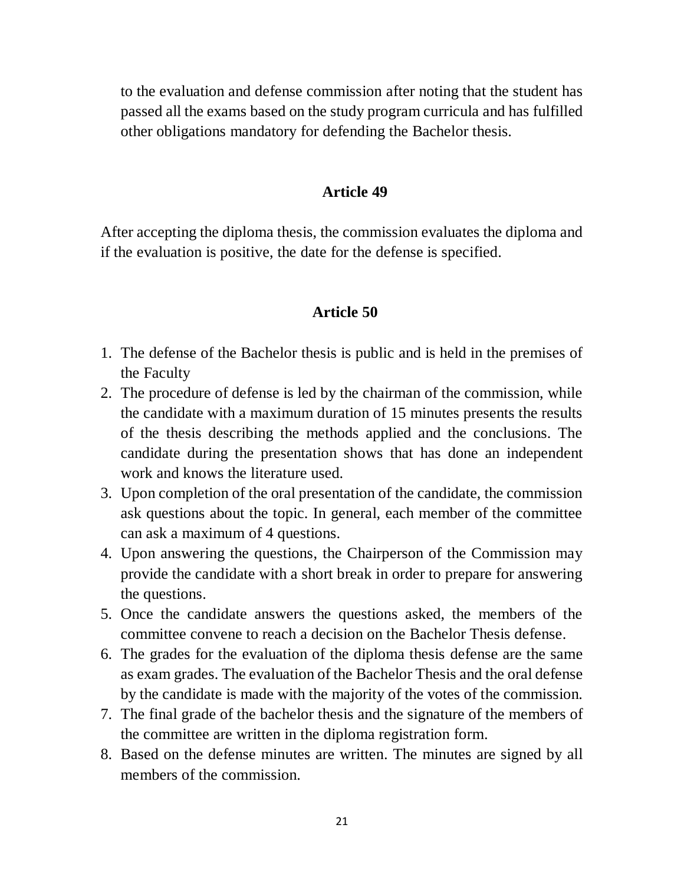to the evaluation and defense commission after noting that the student has passed all the exams based on the study program curricula and has fulfilled other obligations mandatory for defending the Bachelor thesis.

#### **Article 49**

After accepting the diploma thesis, the commission evaluates the diploma and if the evaluation is positive, the date for the defense is specified.

- 1. The defense of the Bachelor thesis is public and is held in the premises of the Faculty
- 2. The procedure of defense is led by the chairman of the commission, while the candidate with a maximum duration of 15 minutes presents the results of the thesis describing the methods applied and the conclusions. The candidate during the presentation shows that has done an independent work and knows the literature used.
- 3. Upon completion of the oral presentation of the candidate, the commission ask questions about the topic. In general, each member of the committee can ask a maximum of 4 questions.
- 4. Upon answering the questions, the Chairperson of the Commission may provide the candidate with a short break in order to prepare for answering the questions.
- 5. Once the candidate answers the questions asked, the members of the committee convene to reach a decision on the Bachelor Thesis defense.
- 6. The grades for the evaluation of the diploma thesis defense are the same as exam grades. The evaluation of the Bachelor Thesis and the oral defense by the candidate is made with the majority of the votes of the commission.
- 7. The final grade of the bachelor thesis and the signature of the members of the committee are written in the diploma registration form.
- 8. Based on the defense minutes are written. The minutes are signed by all members of the commission.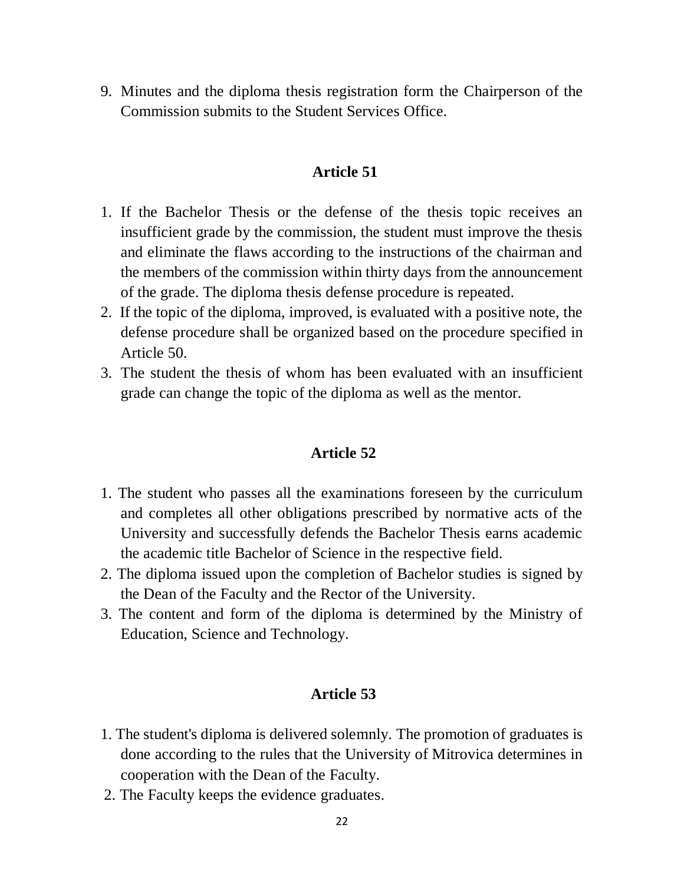9. Minutes and the diploma thesis registration form the Chairperson of the Commission submits to the Student Services Office.

#### **Article 51**

- 1. If the Bachelor Thesis or the defense of the thesis topic receives an insufficient grade by the commission, the student must improve the thesis and eliminate the flaws according to the instructions of the chairman and the members of the commission within thirty days from the announcement of the grade. The diploma thesis defense procedure is repeated.
- 2. If the topic of the diploma, improved, is evaluated with a positive note, the defense procedure shall be organized based on the procedure specified in Article 50.
- 3. The student the thesis of whom has been evaluated with an insufficient grade can change the topic of the diploma as well as the mentor.

#### **Article 52**

- 1. The student who passes all the examinations foreseen by the curriculum and completes all other obligations prescribed by normative acts of the University and successfully defends the Bachelor Thesis earns academic the academic title Bachelor of Science in the respective field.
- 2. The diploma issued upon the completion of Bachelor studies is signed by the Dean of the Faculty and the Rector of the University.
- 3. The content and form of the diploma is determined by the Ministry of Education, Science and Technology.

- 1. The student's diploma is delivered solemnly. The promotion of graduates is done according to the rules that the University of Mitrovica determines in cooperation with the Dean of the Faculty.
- 2. The Faculty keeps the evidence graduates.